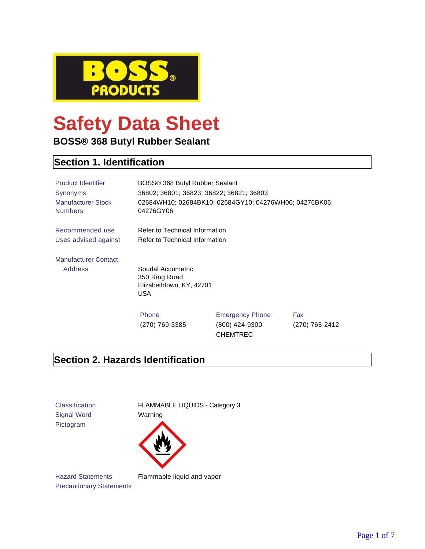

# **Safety Data Sheet**

**BOSS® 368 Butyl Rubber Sealant**

## **Section 1. Identification**

| <b>Product Identifier</b><br><b>Synonyms</b><br><b>Manufacturer Stock</b><br><b>Numbers</b> | BOSS® 368 Butyl Rubber Sealant<br>36802; 36801; 36823; 36822; 36821; 36803<br>04276GY06 | 02684WH10; 02684BK10; 02684GY10; 04276WH06; 04276BK06;      |                       |
|---------------------------------------------------------------------------------------------|-----------------------------------------------------------------------------------------|-------------------------------------------------------------|-----------------------|
| Recommended use                                                                             | Refer to Technical Information                                                          |                                                             |                       |
| Uses advised against                                                                        | Refer to Technical Information                                                          |                                                             |                       |
| <b>Manufacturer Contact</b>                                                                 |                                                                                         |                                                             |                       |
| <b>Address</b>                                                                              | Soudal Accumetric<br>350 Ring Road<br>Elizabethtown, KY, 42701<br><b>USA</b>            |                                                             |                       |
|                                                                                             | Phone<br>(270) 769-3385                                                                 | <b>Emergency Phone</b><br>(800) 424-9300<br><b>CHEMTREC</b> | Fax<br>(270) 765-2412 |

# **Section 2. Hazards Identification**

Signal Word Warning Pictogram

Classification FLAMMABLE LIQUIDS - Category 3



Hazard Statements Flammable liquid and vapor Precautionary Statements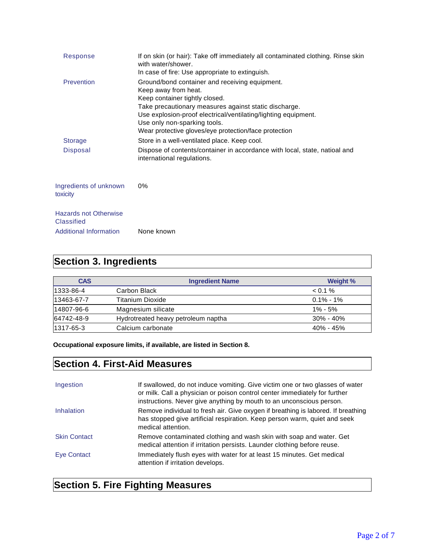| Response                                          | If on skin (or hair): Take off immediately all contaminated clothing. Rinse skin<br>with water/shower.<br>In case of fire: Use appropriate to extinguish.                                                                                                                                                                    |
|---------------------------------------------------|------------------------------------------------------------------------------------------------------------------------------------------------------------------------------------------------------------------------------------------------------------------------------------------------------------------------------|
| Prevention                                        | Ground/bond container and receiving equipment.<br>Keep away from heat.<br>Keep container tightly closed.<br>Take precautionary measures against static discharge.<br>Use explosion-proof electrical/ventilating/lighting equipment.<br>Use only non-sparking tools.<br>Wear protective gloves/eye protection/face protection |
| <b>Storage</b>                                    | Store in a well-ventilated place. Keep cool.                                                                                                                                                                                                                                                                                 |
| <b>Disposal</b>                                   | Dispose of contents/container in accordance with local, state, natioal and<br>international regulations.                                                                                                                                                                                                                     |
| Ingredients of unknown<br>toxicity                | $0\%$                                                                                                                                                                                                                                                                                                                        |
| <b>Hazards not Otherwise</b><br><b>Classified</b> |                                                                                                                                                                                                                                                                                                                              |
| <b>Additional Information</b>                     | None known                                                                                                                                                                                                                                                                                                                   |

# **Section 3. Ingredients**

| <b>CAS</b> | <b>Ingredient Name</b>              | Weight %      |
|------------|-------------------------------------|---------------|
| 1333-86-4  | Carbon Black                        | $< 0.1 \%$    |
| 13463-67-7 | Titanium Dioxide                    | $0.1\%$ - 1%  |
| 14807-96-6 | Magnesium silicate                  | $1\% - 5\%$   |
| 64742-48-9 | Hydrotreated heavy petroleum naptha | $30\% - 40\%$ |
| 1317-65-3  | Calcium carbonate                   | $40\% - 45\%$ |

**Occupational exposure limits, if available, are listed in Section 8.**

# **Section 4. First-Aid Measures**

| Ingestion           | If swallowed, do not induce vomiting. Give victim one or two glasses of water<br>or milk. Call a physician or poison control center immediately for further<br>instructions. Never give anything by mouth to an unconscious person. |
|---------------------|-------------------------------------------------------------------------------------------------------------------------------------------------------------------------------------------------------------------------------------|
| Inhalation          | Remove individual to fresh air. Give oxygen if breathing is labored. If breathing<br>has stopped give artificial respiration. Keep person warm, quiet and seek<br>medical attention.                                                |
| <b>Skin Contact</b> | Remove contaminated clothing and wash skin with soap and water. Get<br>medical attention if irritation persists. Launder clothing before reuse.                                                                                     |
| Eye Contact         | Immediately flush eyes with water for at least 15 minutes. Get medical<br>attention if irritation develops.                                                                                                                         |

# **Section 5. Fire Fighting Measures**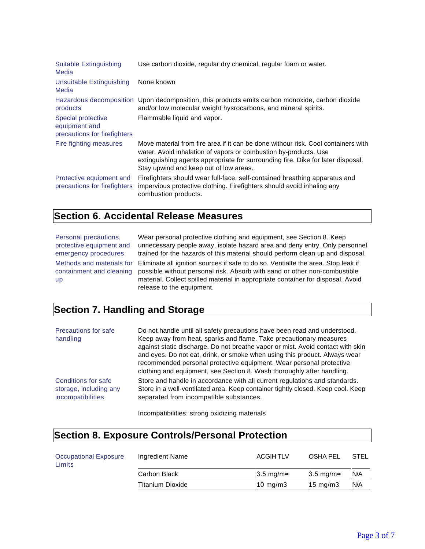| <b>Suitable Extinguishing</b><br>Media                              | Use carbon dioxide, regular dry chemical, regular foam or water.                                                                                                                                                                                                                   |
|---------------------------------------------------------------------|------------------------------------------------------------------------------------------------------------------------------------------------------------------------------------------------------------------------------------------------------------------------------------|
| <b>Unsuitable Extinguishing</b><br>Media                            | None known                                                                                                                                                                                                                                                                         |
| products                                                            | Hazardous decomposition Upon decomposition, this products emits carbon monoxide, carbon dioxide<br>and/or low molecular weight hysrocarbons, and mineral spirits.                                                                                                                  |
| Special protective<br>equipment and<br>precautions for firefighters | Flammable liquid and vapor.                                                                                                                                                                                                                                                        |
| Fire fighting measures                                              | Move material from fire area if it can be done withour risk. Cool containers with<br>water. Avoid inhalation of vapors or combustion by-products. Use<br>extinguishing agents appropriate for surrounding fire. Dike for later disposal.<br>Stay upwind and keep out of low areas. |
| Protective equipment and<br>precautions for firefighters            | Firefighters should wear full-face, self-contained breathing apparatus and<br>impervious protective clothing. Firefighters should avoid inhaling any<br>combustion products.                                                                                                       |

#### **Section 6. Accidental Release Measures**

Personal precautions, protective equipment and emergency procedures Methods and materials for containment and cleaning up

Wear personal protective clothing and equipment, see Section 8. Keep unnecessary people away, isolate hazard area and deny entry. Only personnel trained for the hazards of this material should perform clean up and disposal. Eliminate all ignition sources if safe to do so. Ventialte the area. Stop leak if possible without personal risk. Absorb with sand or other non-combustible material. Collect spilled material in appropriate container for disposal. Avoid release to the equipment.

### **Section 7. Handling and Storage**

| Precautions for safe<br>handling | Do not handle until all safety precautions have been read and understood.<br>Keep away from heat, sparks and flame. Take precautionary measures<br>against static discharge. Do not breathe vapor or mist. Avoid contact with skin<br>and eyes. Do not eat, drink, or smoke when using this product. Always wear<br>recommended personal protective equipment. Wear personal protective<br>clothing and equipment, see Section 8. Wash thoroughly after handling. |
|----------------------------------|-------------------------------------------------------------------------------------------------------------------------------------------------------------------------------------------------------------------------------------------------------------------------------------------------------------------------------------------------------------------------------------------------------------------------------------------------------------------|
| Conditions for safe              | Store and handle in accordance with all current regulations and standards.                                                                                                                                                                                                                                                                                                                                                                                        |
| storage, including any           | Store in a well-ventilated area. Keep container tightly closed. Keep cool. Keep                                                                                                                                                                                                                                                                                                                                                                                   |
| incompatibilities                | separated from incompatible substances.                                                                                                                                                                                                                                                                                                                                                                                                                           |

Incompatibilities: strong oxidizing materials

| <b>Section 8. Exposure Controls/Personal Protection</b> |                         |                    |                   |             |
|---------------------------------------------------------|-------------------------|--------------------|-------------------|-------------|
| <b>Occupational Exposure</b><br>Limits                  | Ingredient Name         | <b>ACGIHTLV</b>    | OSHA PEL          | <b>STEL</b> |
|                                                         | Carbon Black            | 3.5 mg/m $\approx$ | 3.5 mg/m≈         | N/A         |
|                                                         | <b>Titanium Dioxide</b> | 10 mg/m $3$        | $15 \text{ mg/m}$ | N/A         |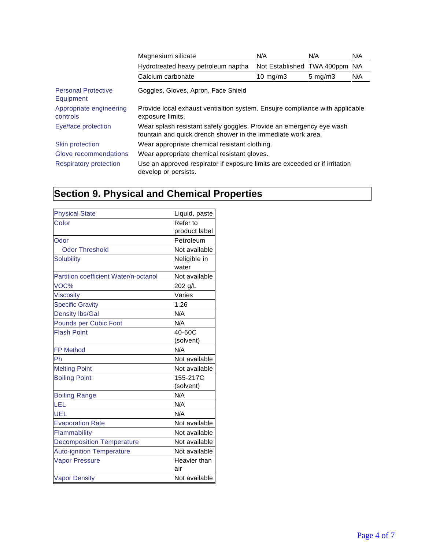|                                         | Magnesium silicate                                                                                                                  | N/A                        | N/A                | N/A |
|-----------------------------------------|-------------------------------------------------------------------------------------------------------------------------------------|----------------------------|--------------------|-----|
|                                         | Hydrotreated heavy petroleum naptha                                                                                                 | Not Established TWA 400ppm |                    | N/A |
|                                         | Calcium carbonate                                                                                                                   | 10 $mg/m3$                 | $5 \text{ mg/m}$ 3 | N/A |
| <b>Personal Protective</b><br>Equipment | Goggles, Gloves, Apron, Face Shield                                                                                                 |                            |                    |     |
| Appropriate engineering<br>controls     | Provide local exhaust ventialtion system. Ensujre compliance with applicable<br>exposure limits.                                    |                            |                    |     |
| Eye/face protection                     | Wear splash resistant safety goggles. Provide an emergency eye wash<br>fountain and quick drench shower in the immediate work area. |                            |                    |     |
| Skin protection                         | Wear appropriate chemical resistant clothing.                                                                                       |                            |                    |     |
| Glove recommendations                   | Wear appropriate chemical resistant gloves.                                                                                         |                            |                    |     |
| <b>Respiratory protection</b>           | Use an approved respirator if exposure limits are exceeded or if irritation<br>develop or persists.                                 |                            |                    |     |

# **Section 9. Physical and Chemical Properties**

| <b>Physical State</b>                 | Liquid, paste |
|---------------------------------------|---------------|
| Color                                 | Refer to      |
|                                       | product label |
| Odor                                  | Petroleum     |
| <b>Odor Threshold</b>                 | Not available |
| <b>Solubility</b>                     | Neligible in  |
|                                       | water         |
| Partition coefficient Water/n-octanol | Not available |
| VOC%                                  | 202 g/L       |
| <b>Viscosity</b>                      | Varies        |
| <b>Specific Gravity</b>               | 1.26          |
| <b>Density lbs/Gal</b>                | N/A           |
| Pounds per Cubic Foot                 | N/A           |
| <b>Flash Point</b>                    | 40-60C        |
|                                       | (solvent)     |
| <b>FP Method</b>                      | N/A           |
| Ph                                    | Not available |
| <b>Melting Point</b>                  | Not available |
| <b>Boiling Point</b>                  | 155-217C      |
|                                       | (solvent)     |
| <b>Boiling Range</b>                  | N/A           |
| LEL                                   | N/A           |
| UEL                                   | N/A           |
| <b>Evaporation Rate</b>               | Not available |
| Flammability                          | Not available |
| <b>Decomposition Temperature</b>      | Not available |
| <b>Auto-ignition Temperature</b>      | Not available |
| <b>Vapor Pressure</b>                 | Heavier than  |
|                                       | air           |
| <b>Vapor Density</b>                  | Not available |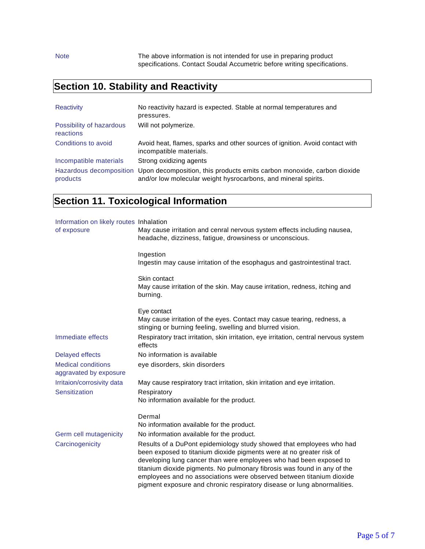Note The above information is not intended for use in preparing product specifications. Contact Soudal Accumetric before writing specifications.

# **Section 10. Stability and Reactivity**

| Reactivity                            | No reactivity hazard is expected. Stable at normal temperatures and<br>pressures.                                                                                 |
|---------------------------------------|-------------------------------------------------------------------------------------------------------------------------------------------------------------------|
| Possibility of hazardous<br>reactions | Will not polymerize.                                                                                                                                              |
| Conditions to avoid                   | Avoid heat, flames, sparks and other sources of ignition. Avoid contact with<br>incompatible materials.                                                           |
| Incompatible materials                | Strong oxidizing agents                                                                                                                                           |
| products                              | Hazardous decomposition Upon decomposition, this products emits carbon monoxide, carbon dioxide<br>and/or low molecular weight hysrocarbons, and mineral spirits. |

# **Section 11. Toxicological Information**

| Information on likely routes Inhalation<br>of exposure | May cause irritation and cenral nervous system effects including nausea,<br>headache, dizziness, fatigue, drowsiness or unconscious.                                                                                                                                                                                                                                                                                                              |
|--------------------------------------------------------|---------------------------------------------------------------------------------------------------------------------------------------------------------------------------------------------------------------------------------------------------------------------------------------------------------------------------------------------------------------------------------------------------------------------------------------------------|
|                                                        | Ingestion<br>Ingestin may cause irritation of the esophagus and gastrointestinal tract.                                                                                                                                                                                                                                                                                                                                                           |
|                                                        | Skin contact<br>May cause irritation of the skin. May cause irritation, redness, itching and<br>burning.                                                                                                                                                                                                                                                                                                                                          |
|                                                        | Eye contact                                                                                                                                                                                                                                                                                                                                                                                                                                       |
|                                                        | May cause irritation of the eyes. Contact may casue tearing, redness, a<br>stinging or burning feeling, swelling and blurred vision.                                                                                                                                                                                                                                                                                                              |
| Immediate effects                                      | Respiratory tract irritation, skin irritation, eye irritation, central nervous system<br>effects                                                                                                                                                                                                                                                                                                                                                  |
| <b>Delayed effects</b>                                 | No information is available                                                                                                                                                                                                                                                                                                                                                                                                                       |
| <b>Medical conditions</b><br>aggravated by exposure    | eye disorders, skin disorders                                                                                                                                                                                                                                                                                                                                                                                                                     |
| Irritaion/corrosivity data                             | May cause respiratory tract irritation, skin irritation and eye irritation.                                                                                                                                                                                                                                                                                                                                                                       |
| Sensitization                                          | Respiratory                                                                                                                                                                                                                                                                                                                                                                                                                                       |
|                                                        | No information available for the product.                                                                                                                                                                                                                                                                                                                                                                                                         |
|                                                        | Dermal                                                                                                                                                                                                                                                                                                                                                                                                                                            |
|                                                        | No information available for the product.                                                                                                                                                                                                                                                                                                                                                                                                         |
| Germ cell mutagenicity                                 | No information available for the product.                                                                                                                                                                                                                                                                                                                                                                                                         |
| Carcinogenicity                                        | Results of a DuPont epidemiology study showed that employees who had<br>been exposed to titanium dioxide pigments were at no greater risk of<br>developing lung cancer than were employees who had been exposed to<br>titanium dioxide pigments. No pulmonary fibrosis was found in any of the<br>employees and no associations were observed between titanium dioxide<br>pigment exposure and chronic respiratory disease or lung abnormalities. |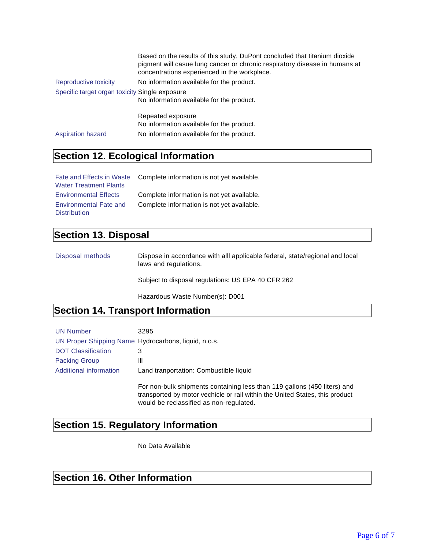|                                                | Based on the results of this study, DuPont concluded that titanium dioxide<br>pigment will casue lung cancer or chronic respiratory disease in humans at<br>concentrations experienced in the workplace. |
|------------------------------------------------|----------------------------------------------------------------------------------------------------------------------------------------------------------------------------------------------------------|
| Reproductive toxicity                          | No information available for the product.                                                                                                                                                                |
| Specific target organ toxicity Single exposure |                                                                                                                                                                                                          |
|                                                | No information available for the product.                                                                                                                                                                |
|                                                | Repeated exposure                                                                                                                                                                                        |
|                                                | No information available for the product.                                                                                                                                                                |
| <b>Aspiration hazard</b>                       | No information available for the product.                                                                                                                                                                |

### **Section 12. Ecological Information**

|                               | Fate and Effects in Waste Complete information is not yet available. |
|-------------------------------|----------------------------------------------------------------------|
| <b>Water Treatment Plants</b> |                                                                      |
| <b>Environmental Effects</b>  | Complete information is not yet available.                           |
| <b>Environmental Fate and</b> | Complete information is not yet available.                           |
| <b>Distribution</b>           |                                                                      |

### **Section 13. Disposal**

Disposal methods Dispose in accordance with alll applicable federal, state/regional and local laws and regulations.

Subject to disposal regulations: US EPA 40 CFR 262

Hazardous Waste Number(s): D001

### **Section 14. Transport Information**

| <b>UN Number</b>          | 3295                                                                                                                                                                                                |
|---------------------------|-----------------------------------------------------------------------------------------------------------------------------------------------------------------------------------------------------|
|                           | UN Proper Shipping Name Hydrocarbons, liquid, n.o.s.                                                                                                                                                |
| <b>DOT Classification</b> | 3                                                                                                                                                                                                   |
| <b>Packing Group</b>      | Ш                                                                                                                                                                                                   |
| Additional information    | Land tranportation: Combustible liquid                                                                                                                                                              |
|                           | For non-bulk shipments containing less than 119 gallons (450 liters) and<br>transported by motor vechicle or rail within the United States, this product<br>would be reclassified as non-regulated. |

# **Section 15. Regulatory Information**

No Data Available

# **Section 16. Other Information**